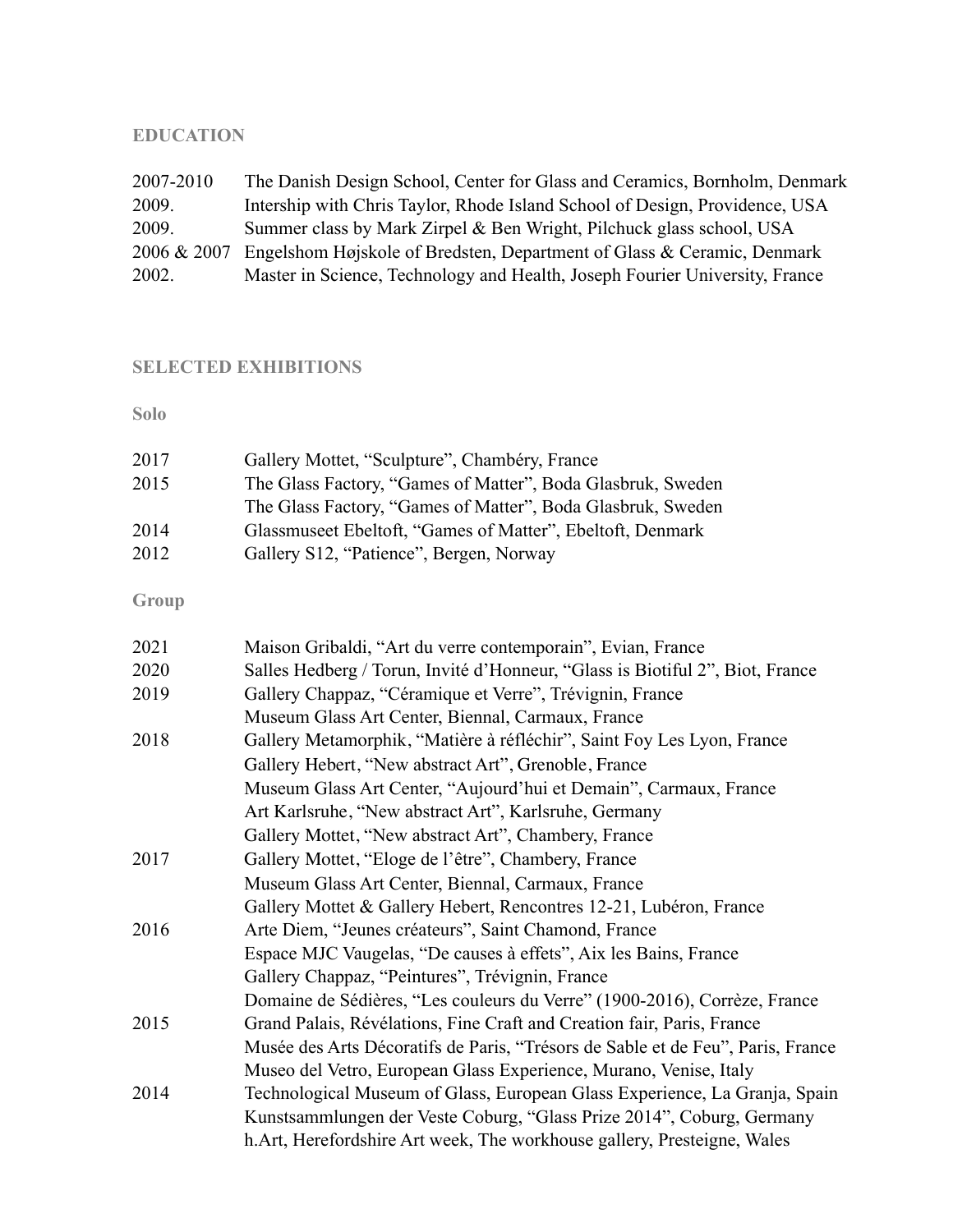# **EDUCATION**

| 2007-2010   | The Danish Design School, Center for Glass and Ceramics, Bornholm, Denmark  |
|-------------|-----------------------------------------------------------------------------|
| 2009.       | Intership with Chris Taylor, Rhode Island School of Design, Providence, USA |
| 2009.       | Summer class by Mark Zirpel & Ben Wright, Pilchuck glass school, USA        |
| 2006 & 2007 | Engelshom Højskole of Bredsten, Department of Glass & Ceramic, Denmark      |
| 2002.       | Master in Science, Technology and Health, Joseph Fourier University, France |

# **SELECTED EXHIBITIONS**

**Solo** 

| 2017 | Gallery Mottet, "Sculpture", Chambéry, France               |
|------|-------------------------------------------------------------|
| 2015 | The Glass Factory, "Games of Matter", Boda Glasbruk, Sweden |
|      | The Glass Factory, "Games of Matter", Boda Glasbruk, Sweden |
| 2014 | Glassmuseet Ebeltoft, "Games of Matter", Ebeltoft, Denmark  |
| 2012 | Gallery S12, "Patience", Bergen, Norway                     |
|      |                                                             |

**Group** 

| 2021 | Maison Gribaldi, "Art du verre contemporain", Evian, France                     |
|------|---------------------------------------------------------------------------------|
| 2020 | Salles Hedberg / Torun, Invité d'Honneur, "Glass is Biotiful 2", Biot, France   |
| 2019 | Gallery Chappaz, "Céramique et Verre", Trévignin, France                        |
|      | Museum Glass Art Center, Biennal, Carmaux, France                               |
| 2018 | Gallery Metamorphik, "Matière à réfléchir", Saint Foy Les Lyon, France          |
|      | Gallery Hebert, "New abstract Art", Grenoble, France                            |
|      | Museum Glass Art Center, "Aujourd'hui et Demain", Carmaux, France               |
|      | Art Karlsruhe, "New abstract Art", Karlsruhe, Germany                           |
|      | Gallery Mottet, "New abstract Art", Chambery, France                            |
| 2017 | Gallery Mottet, "Eloge de l'être", Chambery, France                             |
|      | Museum Glass Art Center, Biennal, Carmaux, France                               |
|      | Gallery Mottet & Gallery Hebert, Rencontres 12-21, Lubéron, France              |
| 2016 | Arte Diem, "Jeunes créateurs", Saint Chamond, France                            |
|      | Espace MJC Vaugelas, "De causes à effets", Aix les Bains, France                |
|      | Gallery Chappaz, "Peintures", Trévignin, France                                 |
|      | Domaine de Sédières, "Les couleurs du Verre" (1900-2016), Corrèze, France       |
| 2015 | Grand Palais, Révélations, Fine Craft and Creation fair, Paris, France          |
|      | Musée des Arts Décoratifs de Paris, "Trésors de Sable et de Feu", Paris, France |
|      | Museo del Vetro, European Glass Experience, Murano, Venise, Italy               |
| 2014 | Technological Museum of Glass, European Glass Experience, La Granja, Spain      |
|      | Kunstsammlungen der Veste Coburg, "Glass Prize 2014", Coburg, Germany           |
|      | h. Art, Herefordshire Art week, The workhouse gallery, Presteigne, Wales        |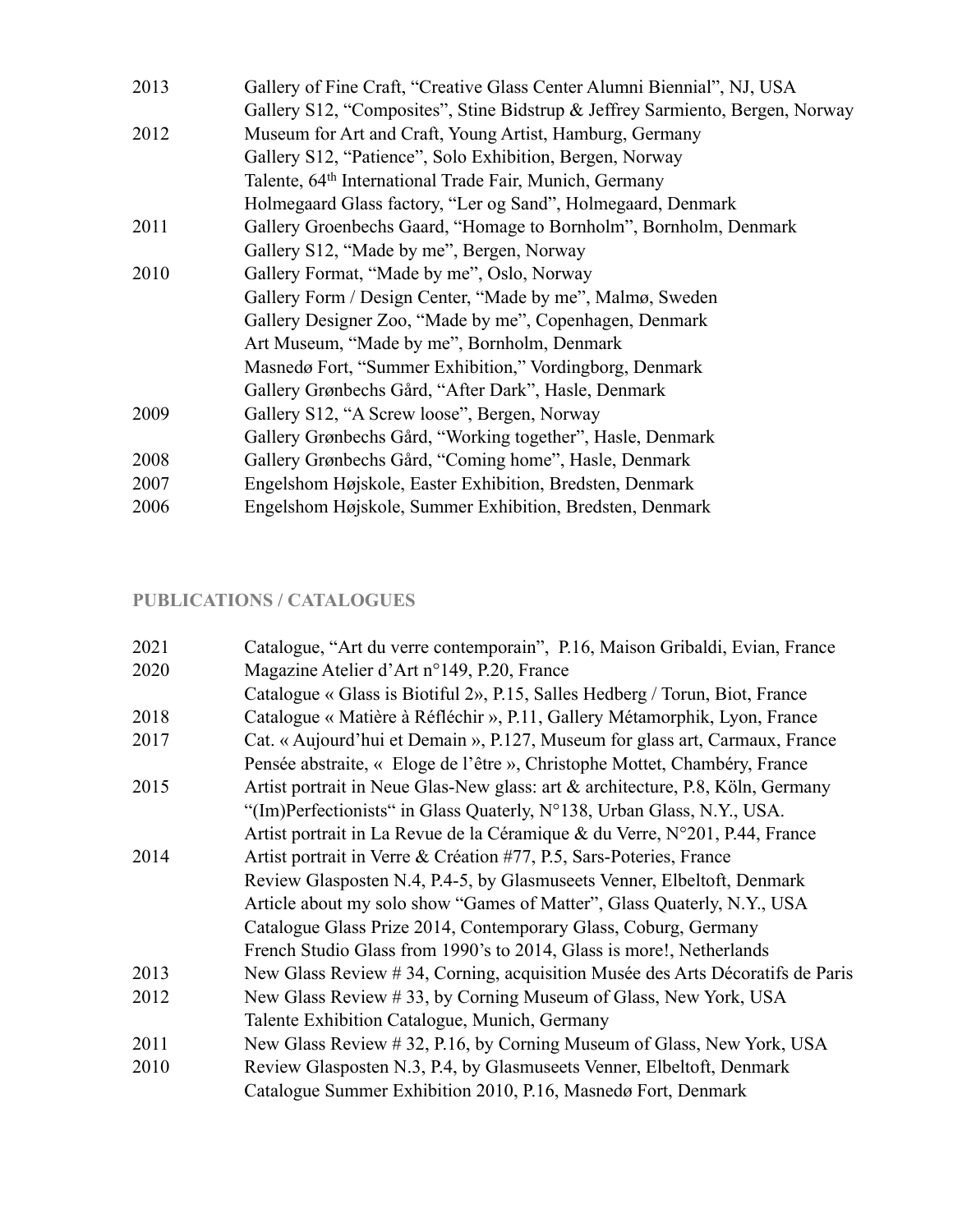| 2013 | Gallery of Fine Craft, "Creative Glass Center Alumni Biennial", NJ, USA       |
|------|-------------------------------------------------------------------------------|
|      | Gallery S12, "Composites", Stine Bidstrup & Jeffrey Sarmiento, Bergen, Norway |
| 2012 | Museum for Art and Craft, Young Artist, Hamburg, Germany                      |
|      | Gallery S12, "Patience", Solo Exhibition, Bergen, Norway                      |
|      | Talente, 64 <sup>th</sup> International Trade Fair, Munich, Germany           |
|      | Holmegaard Glass factory, "Ler og Sand", Holmegaard, Denmark                  |
| 2011 | Gallery Groenbechs Gaard, "Homage to Bornholm", Bornholm, Denmark             |
|      | Gallery S12, "Made by me", Bergen, Norway                                     |
| 2010 | Gallery Format, "Made by me", Oslo, Norway                                    |
|      | Gallery Form / Design Center, "Made by me", Malmø, Sweden                     |
|      | Gallery Designer Zoo, "Made by me", Copenhagen, Denmark                       |
|      | Art Museum, "Made by me", Bornholm, Denmark                                   |
|      | Masnedø Fort, "Summer Exhibition," Vordingborg, Denmark                       |
|      | Gallery Grønbechs Gård, "After Dark", Hasle, Denmark                          |
| 2009 | Gallery S12, "A Screw loose", Bergen, Norway                                  |
|      | Gallery Grønbechs Gård, "Working together", Hasle, Denmark                    |
| 2008 | Gallery Grønbechs Gård, "Coming home", Hasle, Denmark                         |
| 2007 | Engelshom Højskole, Easter Exhibition, Bredsten, Denmark                      |
| 2006 | Engelshom Højskole, Summer Exhibition, Bredsten, Denmark                      |

# **PUBLICATIONS / CATALOGUES**

| 2021 | Catalogue, "Art du verre contemporain", P.16, Maison Gribaldi, Evian, France   |
|------|--------------------------------------------------------------------------------|
| 2020 | Magazine Atelier d'Art n°149, P.20, France                                     |
|      | Catalogue « Glass is Biotiful 2», P.15, Salles Hedberg / Torun, Biot, France   |
| 2018 | Catalogue « Matière à Réfléchir », P.11, Gallery Métamorphik, Lyon, France     |
| 2017 | Cat. « Aujourd'hui et Demain », P.127, Museum for glass art, Carmaux, France   |
|      | Pensée abstraite, « Eloge de l'être », Christophe Mottet, Chambéry, France     |
| 2015 | Artist portrait in Neue Glas-New glass: art & architecture, P.8, Köln, Germany |
|      | "(Im)Perfectionists" in Glass Quaterly, N°138, Urban Glass, N.Y., USA.         |
|      | Artist portrait in La Revue de la Céramique & du Verre, N°201, P.44, France    |
| 2014 | Artist portrait in Verre & Création #77, P.5, Sars-Poteries, France            |
|      | Review Glasposten N.4, P.4-5, by Glasmuseets Venner, Elbeltoft, Denmark        |
|      | Article about my solo show "Games of Matter", Glass Quaterly, N.Y., USA        |
|      | Catalogue Glass Prize 2014, Contemporary Glass, Coburg, Germany                |
|      | French Studio Glass from 1990's to 2014, Glass is more!, Netherlands           |
| 2013 | New Glass Review # 34, Corning, acquisition Musée des Arts Décoratifs de Paris |
| 2012 | New Glass Review #33, by Corning Museum of Glass, New York, USA                |
|      | Talente Exhibition Catalogue, Munich, Germany                                  |
| 2011 | New Glass Review #32, P.16, by Corning Museum of Glass, New York, USA          |
| 2010 | Review Glasposten N.3, P.4, by Glasmuseets Venner, Elbeltoft, Denmark          |
|      | Catalogue Summer Exhibition 2010, P.16, Masnedø Fort, Denmark                  |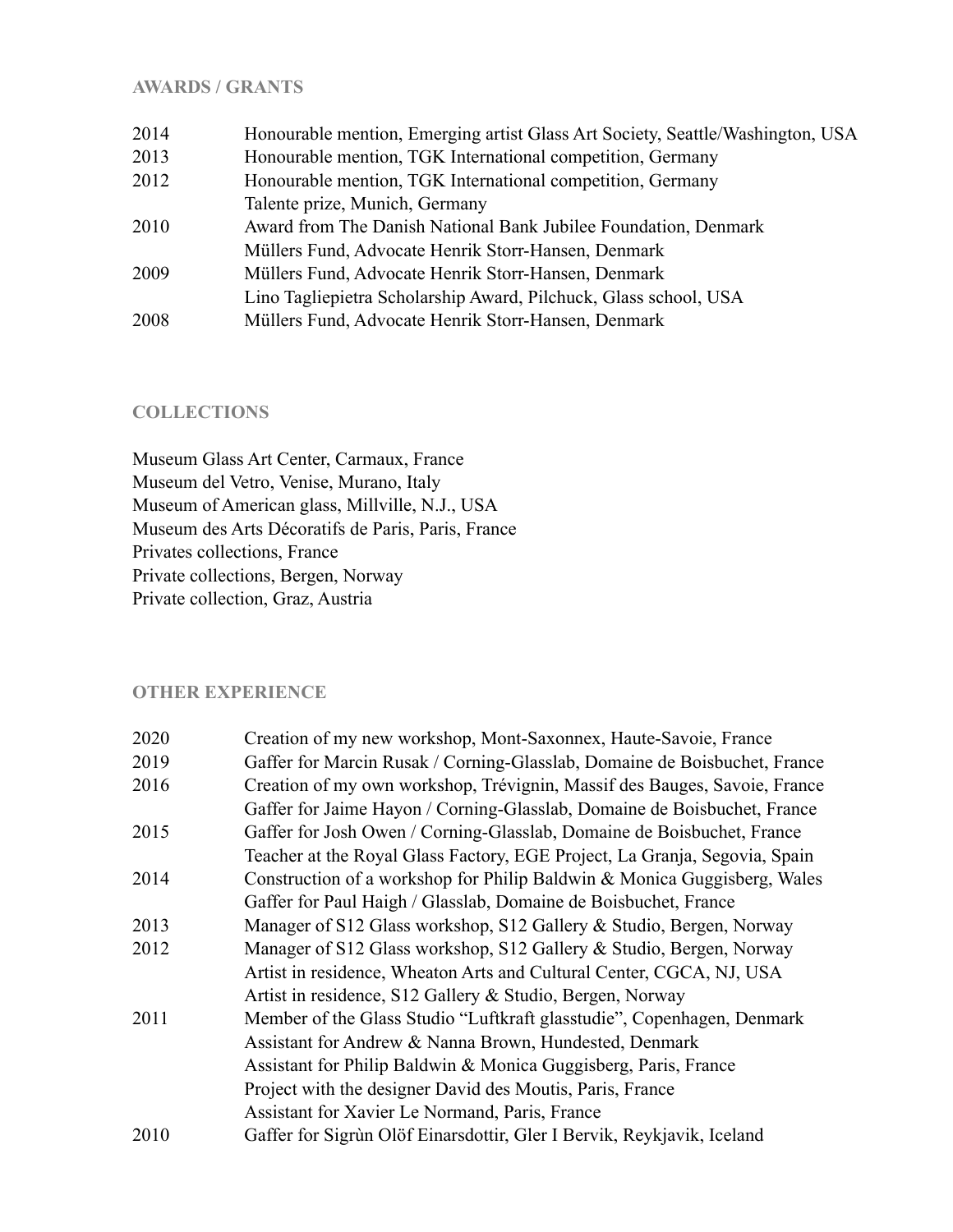### **AWARDS / GRANTS**

| 2014 | Honourable mention, Emerging artist Glass Art Society, Seattle/Washington, USA |
|------|--------------------------------------------------------------------------------|
| 2013 | Honourable mention, TGK International competition, Germany                     |
| 2012 | Honourable mention, TGK International competition, Germany                     |
|      | Talente prize, Munich, Germany                                                 |
| 2010 | Award from The Danish National Bank Jubilee Foundation, Denmark                |
|      | Müllers Fund, Advocate Henrik Storr-Hansen, Denmark                            |
| 2009 | Müllers Fund, Advocate Henrik Storr-Hansen, Denmark                            |
|      | Lino Tagliepietra Scholarship Award, Pilchuck, Glass school, USA               |
| 2008 | Müllers Fund, Advocate Henrik Storr-Hansen, Denmark                            |

#### **COLLECTIONS**

Museum Glass Art Center, Carmaux, France Museum del Vetro, Venise, Murano, Italy Museum of American glass, Millville, N.J., USA Museum des Arts Décoratifs de Paris, Paris, France Privates collections, France Private collections, Bergen, Norway Private collection, Graz, Austria

### **OTHER EXPERIENCE**

| 2020 | Creation of my new workshop, Mont-Saxonnex, Haute-Savoie, France           |
|------|----------------------------------------------------------------------------|
| 2019 | Gaffer for Marcin Rusak / Corning-Glasslab, Domaine de Boisbuchet, France  |
| 2016 | Creation of my own workshop, Trévignin, Massif des Bauges, Savoie, France  |
|      | Gaffer for Jaime Hayon / Corning-Glasslab, Domaine de Boisbuchet, France   |
| 2015 | Gaffer for Josh Owen / Corning-Glasslab, Domaine de Boisbuchet, France     |
|      | Teacher at the Royal Glass Factory, EGE Project, La Granja, Segovia, Spain |
| 2014 | Construction of a workshop for Philip Baldwin & Monica Guggisberg, Wales   |
|      | Gaffer for Paul Haigh / Glasslab, Domaine de Boisbuchet, France            |
| 2013 | Manager of S12 Glass workshop, S12 Gallery & Studio, Bergen, Norway        |
| 2012 | Manager of S12 Glass workshop, S12 Gallery & Studio, Bergen, Norway        |
|      | Artist in residence, Wheaton Arts and Cultural Center, CGCA, NJ, USA       |
|      | Artist in residence, S12 Gallery & Studio, Bergen, Norway                  |
| 2011 | Member of the Glass Studio "Luftkraft glasstudie", Copenhagen, Denmark     |
|      | Assistant for Andrew & Nanna Brown, Hundested, Denmark                     |
|      | Assistant for Philip Baldwin & Monica Guggisberg, Paris, France            |
|      | Project with the designer David des Moutis, Paris, France                  |
|      | Assistant for Xavier Le Normand, Paris, France                             |
| 2010 | Gaffer for Sigrùn Olöf Einarsdottir, Gler I Bervik, Reykjavik, Iceland     |
|      |                                                                            |